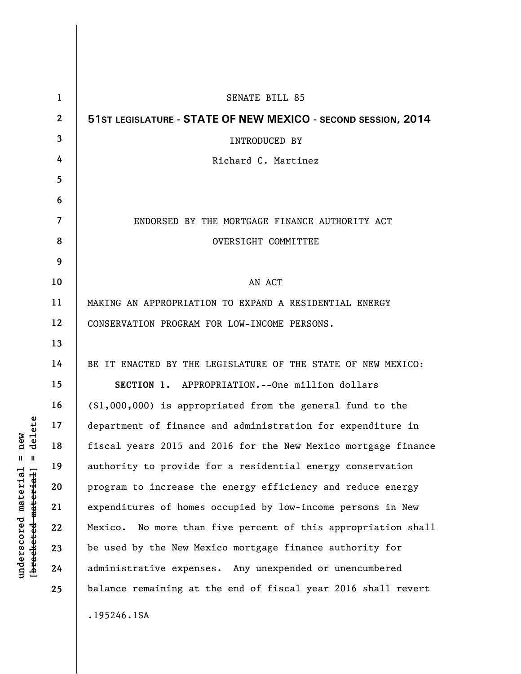| $\mathbf 1$  | SENATE BILL 85                                                 |
|--------------|----------------------------------------------------------------|
| $\mathbf{2}$ | 51ST LEGISLATURE - STATE OF NEW MEXICO - SECOND SESSION, 2014  |
| 3            | <b>INTRODUCED BY</b>                                           |
| 4            | Richard C. Martinez                                            |
| 5            |                                                                |
| 6            |                                                                |
| 7            | ENDORSED BY THE MORTGAGE FINANCE AUTHORITY ACT                 |
| 8            | OVERSIGHT COMMITTEE                                            |
| 9            |                                                                |
| 10           | AN ACT                                                         |
| 11           | MAKING AN APPROPRIATION TO EXPAND A RESIDENTIAL ENERGY         |
| 12           | CONSERVATION PROGRAM FOR LOW-INCOME PERSONS.                   |
| 13           |                                                                |
| 14           | BE IT ENACTED BY THE LEGISLATURE OF THE STATE OF NEW MEXICO:   |
| 15           | SECTION 1. APPROPRIATION. -- One million dollars               |
| 16           | $(\$1,000,000)$ is appropriated from the general fund to the   |
| 17           | department of finance and administration for expenditure in    |
| 18           | fiscal years 2015 and 2016 for the New Mexico mortgage finance |
| 19           | authority to provide for a residential energy conservation     |
| 20           | program to increase the energy efficiency and reduce energy    |
| 21           | expenditures of homes occupied by low-income persons in New    |
| 22           | Mexico. No more than five percent of this appropriation shall  |
| 23           | be used by the New Mexico mortgage finance authority for       |
| 24           | administrative expenses. Any unexpended or unencumbered        |
| 25           | balance remaining at the end of fiscal year 2016 shall revert  |
|              | .195246.1SA                                                    |

**underscored material = new [bracketed material] = delete**

 $[**bracket eted metert et**] = **del et e**$  $underscored material = new$